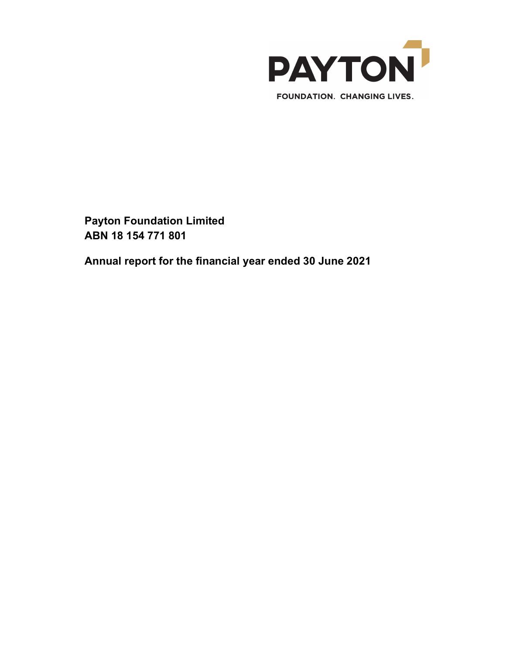

Annual report for the financial year ended 30 June 2021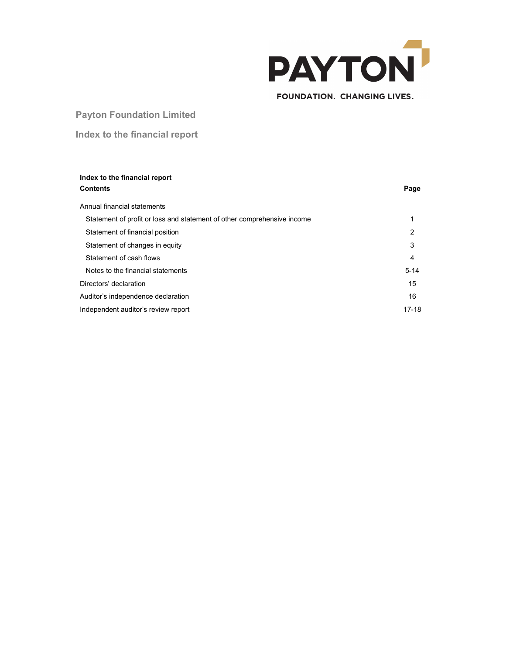

# **FOUNDATION. CHANGING LIVES.**

# Payton Foundation Limited

# Index to the financial report

| Index to the financial report<br><b>Contents</b>                        | Page     |
|-------------------------------------------------------------------------|----------|
| Annual financial statements                                             |          |
| Statement of profit or loss and statement of other comprehensive income | 1        |
| Statement of financial position                                         | 2        |
| Statement of changes in equity                                          | 3        |
| Statement of cash flows                                                 | 4        |
| Notes to the financial statements                                       | $5 - 14$ |
| Directors' declaration                                                  | 15       |
| Auditor's independence declaration                                      | 16       |
| Independent auditor's review report                                     | $17-18$  |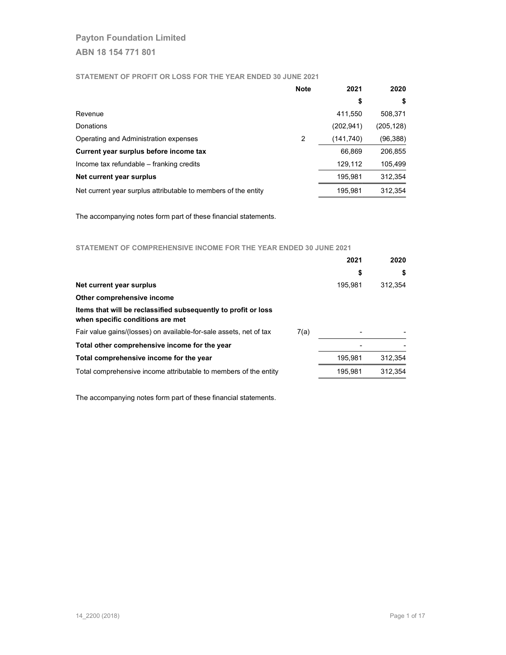## STATEMENT OF PROFIT OR LOSS FOR THE YEAR ENDED 30 JUNE 2021

|                                                                | <b>Note</b> | 2021       | 2020       |
|----------------------------------------------------------------|-------------|------------|------------|
|                                                                |             | \$         | \$         |
| Revenue                                                        |             | 411.550    | 508,371    |
| Donations                                                      |             | (202, 941) | (205, 128) |
| Operating and Administration expenses                          | 2           | (141,740)  | (96,388)   |
| Current year surplus before income tax                         |             | 66.869     | 206,855    |
| Income tax refundable - franking credits                       |             | 129.112    | 105,499    |
| Net current year surplus                                       |             | 195,981    | 312,354    |
| Net current year surplus attributable to members of the entity |             | 195,981    | 312.354    |

The accompanying notes form part of these financial statements.

## STATEMENT OF COMPREHENSIVE INCOME FOR THE YEAR ENDED 30 JUNE 2021

|                                                                                                    | 2021    | 2020    |
|----------------------------------------------------------------------------------------------------|---------|---------|
|                                                                                                    | \$      | S       |
| Net current year surplus                                                                           | 195.981 | 312.354 |
| Other comprehensive income                                                                         |         |         |
| Items that will be reclassified subsequently to profit or loss<br>when specific conditions are met |         |         |
| Fair value gains/(losses) on available-for-sale assets, net of tax<br>7(a)                         |         |         |
| Total other comprehensive income for the year                                                      |         |         |
| Total comprehensive income for the year                                                            | 195.981 | 312.354 |
| Total comprehensive income attributable to members of the entity                                   | 195.981 | 312.354 |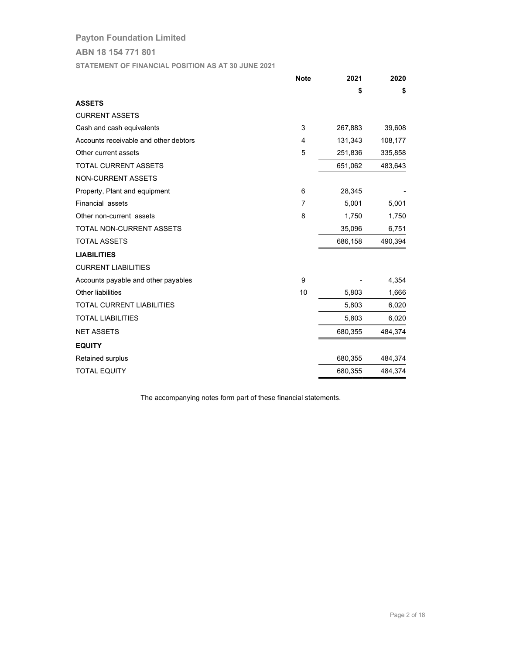ABN 18 154 771 801

STATEMENT OF FINANCIAL POSITION AS AT 30 JUNE 2021

|                                       | <b>Note</b> | 2021    | 2020    |
|---------------------------------------|-------------|---------|---------|
|                                       |             | \$      | \$      |
| <b>ASSETS</b>                         |             |         |         |
| <b>CURRENT ASSETS</b>                 |             |         |         |
| Cash and cash equivalents             | 3           | 267,883 | 39,608  |
| Accounts receivable and other debtors | 4           | 131,343 | 108,177 |
| Other current assets                  | 5           | 251,836 | 335,858 |
| <b>TOTAL CURRENT ASSETS</b>           |             | 651,062 | 483,643 |
| NON-CURRENT ASSETS                    |             |         |         |
| Property, Plant and equipment         | 6           | 28,345  |         |
| Financial assets                      | 7           | 5,001   | 5,001   |
| Other non-current assets              | 8           | 1,750   | 1,750   |
| <b>TOTAL NON-CURRENT ASSETS</b>       |             | 35,096  | 6,751   |
| <b>TOTAL ASSETS</b>                   |             | 686,158 | 490,394 |
| <b>LIABILITIES</b>                    |             |         |         |
| <b>CURRENT LIABILITIES</b>            |             |         |         |
| Accounts payable and other payables   | 9           |         | 4,354   |
| Other liabilities                     | 10          | 5,803   | 1,666   |
| <b>TOTAL CURRENT LIABILITIES</b>      |             | 5,803   | 6,020   |
| <b>TOTAL LIABILITIES</b>              |             | 5,803   | 6,020   |
| <b>NET ASSETS</b>                     |             | 680,355 | 484,374 |
| <b>EQUITY</b>                         |             |         |         |
| Retained surplus                      |             | 680,355 | 484,374 |
| <b>TOTAL EQUITY</b>                   |             | 680,355 | 484,374 |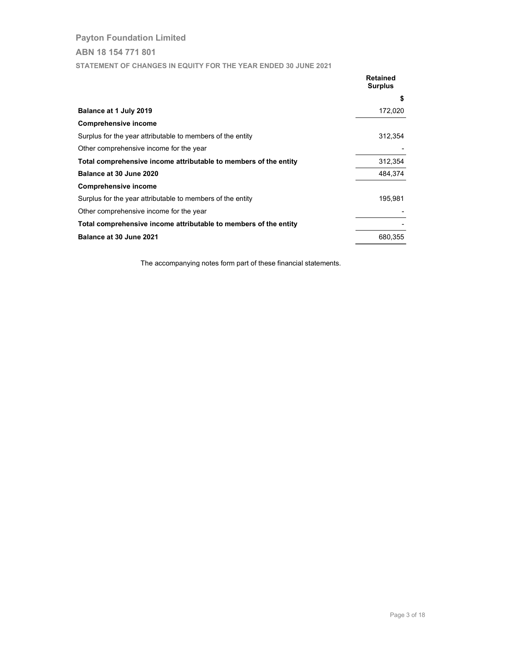STATEMENT OF CHANGES IN EQUITY FOR THE YEAR ENDED 30 JUNE 2021

|                                                                  | <b>Retained</b><br><b>Surplus</b> |
|------------------------------------------------------------------|-----------------------------------|
|                                                                  | \$                                |
| Balance at 1 July 2019                                           | 172,020                           |
| Comprehensive income                                             |                                   |
| Surplus for the year attributable to members of the entity       | 312,354                           |
| Other comprehensive income for the year                          |                                   |
| Total comprehensive income attributable to members of the entity | 312,354                           |
| Balance at 30 June 2020                                          | 484.374                           |
| <b>Comprehensive income</b>                                      |                                   |
| Surplus for the year attributable to members of the entity       | 195.981                           |
| Other comprehensive income for the year                          |                                   |
| Total comprehensive income attributable to members of the entity |                                   |
| Balance at 30 June 2021                                          | 680,355                           |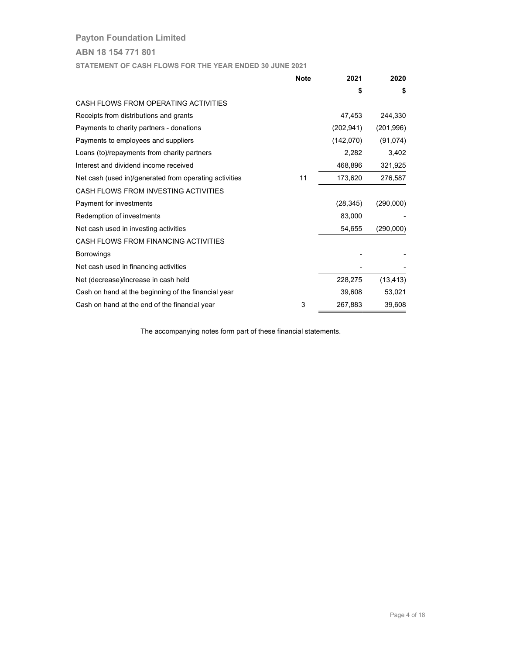ABN 18 154 771 801

STATEMENT OF CASH FLOWS FOR THE YEAR ENDED 30 JUNE 2021

|                                                        | <b>Note</b> | 2021       | 2020       |
|--------------------------------------------------------|-------------|------------|------------|
|                                                        |             | S          | \$         |
| CASH FLOWS FROM OPERATING ACTIVITIES                   |             |            |            |
| Receipts from distributions and grants                 |             | 47,453     | 244,330    |
| Payments to charity partners - donations               |             | (202, 941) | (201, 996) |
| Payments to employees and suppliers                    |             | (142,070)  | (91, 074)  |
| Loans (to)/repayments from charity partners            |             | 2,282      | 3,402      |
| Interest and dividend income received                  |             | 468,896    | 321,925    |
| Net cash (used in)/generated from operating activities | 11          | 173,620    | 276,587    |
| CASH FLOWS FROM INVESTING ACTIVITIES                   |             |            |            |
| Payment for investments                                |             | (28, 345)  | (290,000)  |
| Redemption of investments                              |             | 83,000     |            |
| Net cash used in investing activities                  |             | 54,655     | (290,000)  |
| CASH FLOWS FROM FINANCING ACTIVITIES                   |             |            |            |
| <b>Borrowings</b>                                      |             |            |            |
| Net cash used in financing activities                  |             |            |            |
| Net (decrease)/increase in cash held                   |             | 228,275    | (13, 413)  |
| Cash on hand at the beginning of the financial year    |             | 39,608     | 53,021     |
| Cash on hand at the end of the financial year          | 3           | 267,883    | 39,608     |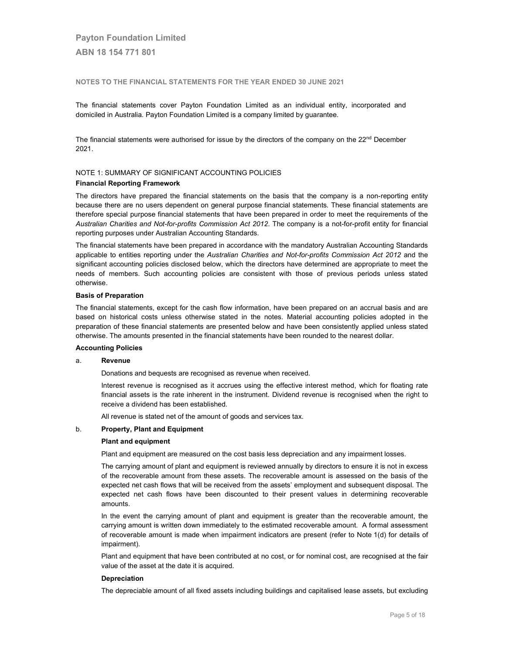#### NOTES TO THE FINANCIAL STATEMENTS FOR THE YEAR ENDED 30 JUNE 2021

The financial statements cover Payton Foundation Limited as an individual entity, incorporated and domiciled in Australia. Payton Foundation Limited is a company limited by guarantee.

The financial statements were authorised for issue by the directors of the company on the  $22<sup>nd</sup>$  December 2021.

## NOTE 1: SUMMARY OF SIGNIFICANT ACCOUNTING POLICIES

#### Financial Reporting Framework

The directors have prepared the financial statements on the basis that the company is a non-reporting entity because there are no users dependent on general purpose financial statements. These financial statements are therefore special purpose financial statements that have been prepared in order to meet the requirements of the Australian Charities and Not-for-profits Commission Act 2012. The company is a not-for-profit entity for financial reporting purposes under Australian Accounting Standards.

The financial statements have been prepared in accordance with the mandatory Australian Accounting Standards applicable to entities reporting under the Australian Charities and Not-for-profits Commission Act 2012 and the significant accounting policies disclosed below, which the directors have determined are appropriate to meet the needs of members. Such accounting policies are consistent with those of previous periods unless stated otherwise.

#### Basis of Preparation

The financial statements, except for the cash flow information, have been prepared on an accrual basis and are based on historical costs unless otherwise stated in the notes. Material accounting policies adopted in the preparation of these financial statements are presented below and have been consistently applied unless stated otherwise. The amounts presented in the financial statements have been rounded to the nearest dollar.

#### Accounting Policies

#### a. Revenue

Donations and bequests are recognised as revenue when received.

 Interest revenue is recognised as it accrues using the effective interest method, which for floating rate financial assets is the rate inherent in the instrument. Dividend revenue is recognised when the right to receive a dividend has been established.

All revenue is stated net of the amount of goods and services tax.

#### b. Property, Plant and Equipment

#### Plant and equipment

Plant and equipment are measured on the cost basis less depreciation and any impairment losses.

The carrying amount of plant and equipment is reviewed annually by directors to ensure it is not in excess of the recoverable amount from these assets. The recoverable amount is assessed on the basis of the expected net cash flows that will be received from the assets' employment and subsequent disposal. The expected net cash flows have been discounted to their present values in determining recoverable amounts.

 In the event the carrying amount of plant and equipment is greater than the recoverable amount, the carrying amount is written down immediately to the estimated recoverable amount. A formal assessment of recoverable amount is made when impairment indicators are present (refer to Note 1(d) for details of impairment).

Plant and equipment that have been contributed at no cost, or for nominal cost, are recognised at the fair value of the asset at the date it is acquired.

#### Depreciation

The depreciable amount of all fixed assets including buildings and capitalised lease assets, but excluding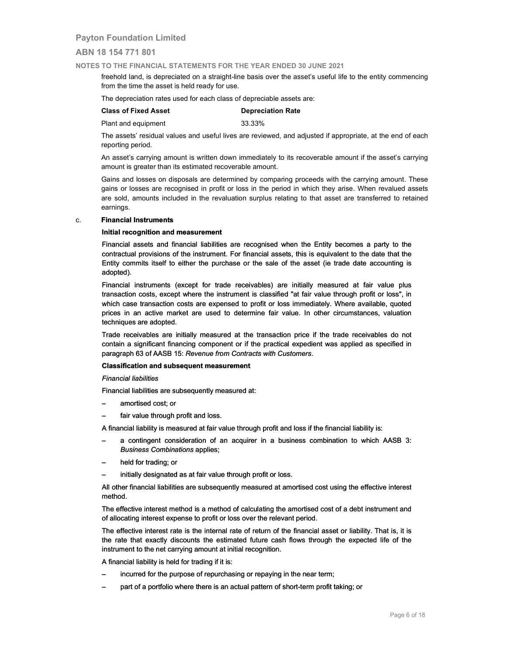## ABN 18 154 771 801

#### NOTES TO THE FINANCIAL STATEMENTS FOR THE YEAR ENDED 30 JUNE 2021

freehold land, is depreciated on a straight-line basis over the asset's useful life to the entity commencing from the time the asset is held ready for use.

The depreciation rates used for each class of depreciable assets are:

## Class of Fixed Asset **Depreciation Rate**

Plant and equipment 33.33%

The assets' residual values and useful lives are reviewed, and adjusted if appropriate, at the end of each reporting period.

An asset's carrying amount is written down immediately to its recoverable amount if the asset's carrying amount is greater than its estimated recoverable amount.

 Gains and losses on disposals are determined by comparing proceeds with the carrying amount. These gains or losses are recognised in profit or loss in the period in which they arise. When revalued assets are sold, amounts included in the revaluation surplus relating to that asset are transferred to retained earnings.

#### c. Financial Instruments

## Initial recognition and measurement

 Financial assets and financial liabilities are recognised when the Entity becomes a party to the contractual provisions of the instrument. For financial assets, this is equivalent to the date that the Entity commits itself to either the purchase or the sale of the asset (ie trade date accounting is adopted).

Financial instruments (except for trade receivables) are initially measured at fair value plus transaction costs, except where the instrument is classified "at fair value through profit or loss", in which case transaction costs are expensed to profit or loss immediately. Where available, quoted prices in an active market are used to determine fair value. In other circumstances, valuation techniques are adopted. Financial assets and financial liabilities are recognised when the Entity becomes a party to the contractual provisions of the instrument. For financial assets, this is equivalent to the date that the Entity commits itself

 Trade receivables are initially measured at the transaction price if the trade receivables do not contain a significant financing component or if the practical expedient was applied as specified in paragraph 63 of AASB 15: Revenue from Contracts with Customers.

#### Classification and subsequent measurement

Financial liabilities

Financial liabilities are subsequently measured at:

- amortised cost; or
- fair value through profit and loss.

A financial liability is measured at fair value through profit and loss if the financial liability is:

- A financial liability is measured at fair value through profit and loss if the financial liability is:<br>– a contingent consideration of an acquirer in a business combination to which AASB 3: Business Combinations applies; Business Combinations
	- held for trading; or
	- initially designated as at fair value through profit or loss.

 All other financial liabilities are subsequently measured at amortised cost using the effective interest method.

The effective interest method is a method of calculating the amortised cost of a debt instrument and of allocating interest expense to profit or loss over the relevant period.

 The effective interest rate is the internal rate of return of the financial asset or liability. That is, it is the rate that exactly discounts the estimated future cash flows through the expected life of the instrument to the net carrying amount at initial recognition. – held for trading; or<br>
– initially designated as at fair value through profit or loss.<br>
All other financial liabilities are subsequently measured at amortised cost using the effective<br>
method.<br>
The effective interest meth

A financial liability is held for trading if it is:

- incurred for the purpose of repurchasing or repaying in the near term;
- part of a portfolio where there is an actual pattern of short-term profit taking; or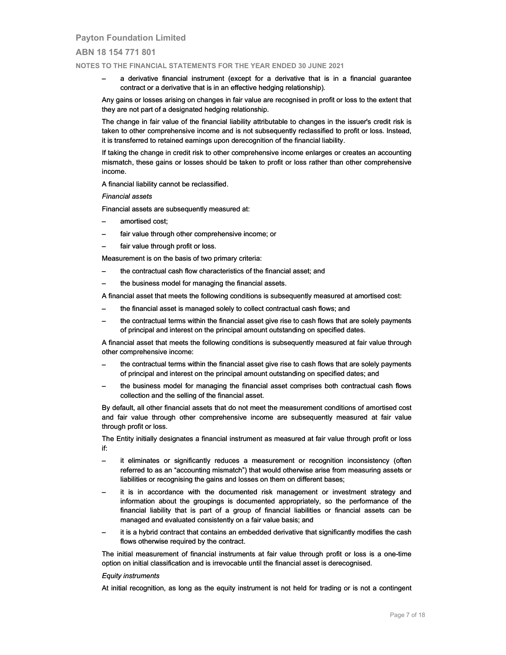## ABN 18 154 771 801

NOTES TO THE FINANCIAL STATEMENTS FOR THE YEAR ENDED 30 JUNE 2021

 – a derivative financial instrument (except for a derivative that is in a financial guarantee contract or a derivative that is in an effective hedging relationship).

 Any gains or losses arising on changes in fair value are recognised in profit or loss to the extent that they are not part of a designated hedging relationship.

The change in fair value of the financial liability attributable to changes in the issuer's credit risk is taken to other comprehensive income and is not subsequently reclassified to profit or loss. Instead, it is transferred to retained earnings upon derecognition of the financial liability.

 If taking the change in credit risk to other comprehensive income enlarges or creates an accounting mismatch, these gains or losses should be taken to profit or loss rather than other comprehensive income. – a derivative financial instrument (except for a derivative that is in a financial guarantee<br>
contract or a derivative that is in an effective hedging relationship).<br>
Any gains or losses arising on changes in fair value a

A financial liability cannot be reclassified.

#### Financial assets

Financial assets are subsequently measured at:

- amortised cost;
- fair value through other comprehensive income; or
- fair value through profit or loss.

Measurement is on the basis of two primary criteria:

- fair value through profit or loss.<br>Measurement is on the basis of two primary criteria:<br>– the contractual cash flow characteristics of the financial asset; and
	- the business model for managing the financial assets.

 A financial asset that meets the following conditions is subsequently measured at amortised cost: – the business model for managing the financial assets.<br>A financial asset that meets the following conditions is subsequently measured at<br>– the financial asset is managed solely to collect contractual cash flow

- the financial asset is managed solely to collect contractual cash flows; and
- the contractual terms within the financial asset give rise to cash flows that are solely payments of principal and interest on the principal amount outstanding on specified dates. – the principal specified dates.

 A financial asset that meets the following conditions is subsequently measured at fair value through other comprehensive income:

- the contractual terms within the financial asset give rise to cash flows that are solely payments of principal and interest on the principal amount outstanding on specified dates; and
- the business model for managing the financial asset comprises both contractual cash flows collection and the selling of the financial asset.

 By default, all other financial assets that do not meet the measurement conditions of amortised cost and fair value through other comprehensive income are subsequently measured at fair value through profit or loss.

The Entity initially designates a financial instrument as measured at fair value through profit or loss if:

- it eliminates or significantly reduces a measurement or recognition inconsistency (often referred to as an "accounting mismatch") that would otherwise arise from measuring assets or liabilities or recognising the gains and losses on them on different bases; to principal and interest on the principal and an interest on the principal amount outstanding on specified dates; and<br>
- the business model for managing the financial asset comprises both contractual cash flows<br>
collectio
- it is in accordance with the documented risk management or investment strategy and information about the groupings is documented appropriately, so the performance of the financial liability that is part of a group of financial liabilities or financial assets can be managed and evaluated consistently on a fair value basis; and – it is in accordance with the documented risk management or investment strategy and information about the groupings is documented appropriately, so the performance of the financial liability that is part of a group of fin
- it is a hybrid contract that contains an embedded derivative that significantly modifies the cash flows otherwise required by the contract. – it is a hybrid contract that contains an embedded derivative that significantly modifies the cash<br>flows otherwise required by the contract.<br>The initial measurement of financial instruments at fair value through profit or

option on initial classification and is irrevocable until the financial asset is derecognised.

#### Equity instruments

At initial recognition, as long as the equity instrument is not held for trading or is not a contingent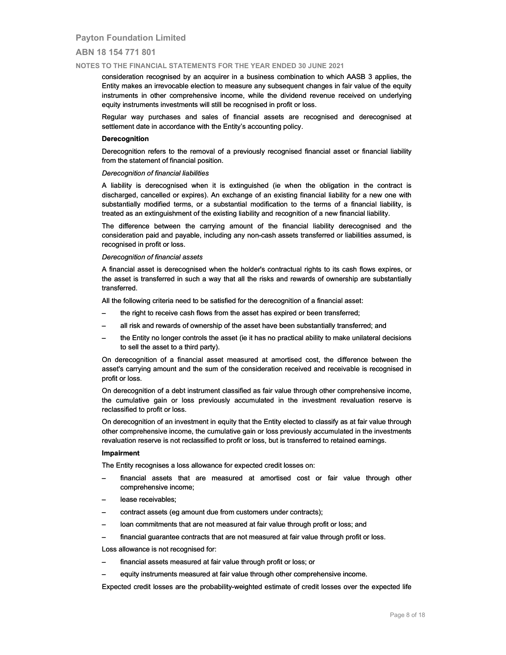## ABN 18 154 771 801

#### NOTES TO THE FINANCIAL STATEMENTS FOR THE YEAR ENDED 30 JUNE 2021

consideration recognised by an acquirer in a business combination to which AASB 3 applies, the Entity makes an irrevocable election to measure any subsequent changes in fair value of the equity instruments in other comprehensive income, while the dividend revenue received on underlying equity instruments investments will still be recognised in profit or loss.

Regular way purchases and sales of financial assets are recognised and derecognised at settlement date in accordance with the Entity's accounting policy.

#### Derecognition

 Derecognition refers to the removal of a previously recognised financial asset or financial liability from the statement of financial position.

## Derecognition of financial liabilities

 A liability is derecognised when it is extinguished (ie when the obligation in the contract is discharged, cancelled or expires). An exchange of an existing financial liability for a new one with substantially modified terms, or a substantial modification to the terms of a financial liability, is treated as an extinguishment of the existing liability and recognition of a new financial liability. Derecognition refers to the removal of a previously recognised financial asset or financial liability<br>
from the statement of financial liabilities<br>
A liability is derecognitied when it is extinguished (ie when the obligati

 The difference between the carrying amount of the financial liability derecognised and the consideration paid and payable, including any non-cash assets transferred or liabilities assumed, is recognised in profit or loss.

#### Derecognition of financial assets

 A financial asset is derecognised when the holder's contractual rights to its cash flows expires, or the asset is transferred in such a way that all the risks and rewards of ownership are substantially transferred.

All the following criteria need to be satisfied for the derecognition of a financial asset:

- the right to receive cash flows from the asset has expired or been transferred;
- all risk and rewards of ownership of the asset have been substantially transferred; and
- the Entity no longer controls the asset (ie it has no practical ability to make unilateral decisions to sell the asset to a third party).

On derecognition of a financial asset measured at amortised cost, the difference between the asset's carrying amount and the sum of the consideration received and receivable is recognised in profit or loss.

 On derecognition of a debt instrument classified as fair value through other comprehensive income, the cumulative gain or loss previously accumulated in the investment revaluation reserve is reclassified to profit or loss.

 On derecognition of an investment in equity that the Entity elected to classify as at fair value through other comprehensive income, the cumulative gain or loss previously accumulated in the investments revaluation reserve is not reclassified to profit or loss, but is transferred to retained earnings.

#### Impairment

The Entity recognises a loss allowance for expected credit losses on:

- financial assets that are measured at amortised cost or fair value through other comprehensive income;
- lease receivables;
- contract assets (eg amount due from customers under contracts);
- loan commitments that are not measured at fair value through profit or loss; and
- financial guarantee contracts that are not measured at fair value through profit or loss. - contract assets (eg amount due from customers under contracts);<br>
- loan commitments that are not measured at fair value through profit or loss; and<br>
- financial guarantee contracts that are not measured at fair value thr

Loss allowance is not recognised for:

- financial assets measured at fair value through profit or loss; or
- equity instruments measured at fair value through other comprehensive income.

Expected credit losses are the probability-weighted estimate of credit losses over the expected life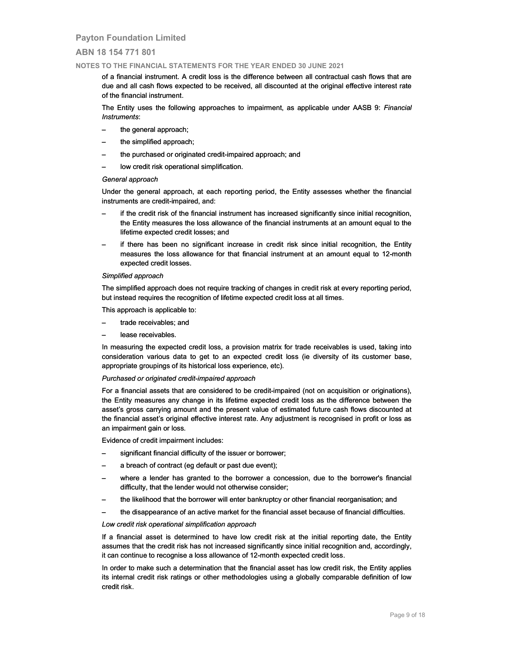## ABN 18 154 771 801

#### NOTES TO THE FINANCIAL STATEMENTS FOR THE YEAR ENDED 30 JUNE 2021

of a financial instrument. A credit loss is the difference between all contractual cash flows that are due and all cash flows expected to be received, all discounted at the original effective interest rate of the financial instrument.

The Entity uses the following approaches to impairment, as applicable under AASB 9: Financial Instruments:

- the general approach;
- the simplified approach;
- the purchased or originated credit-impaired approach; and
- low credit risk operational simplification.

#### General approach

Under the general approach, at each reporting period, the Entity assesses whether the financial instruments are credit-impaired, and:

- if the credit risk of the financial instrument has increased significantly since initial recognition, the Entity measures the loss allowance of the financial instruments at an amount equal to the lifetime expected credit losses; and — the general approach;<br>
— the purchased or originated credit-impaired approach; and<br>
— low credit risk operational simplification.<br>
Seneral approach<br>
— the general approach, at each reporting period, the Entity assesses w
- if there has been no significant increase in credit risk since initial recognition, the Entity measures the loss allowance for that financial instrument at an amount equal to 12-month expected credit losses.

#### Simplified approach

 The simplified approach does not require tracking of changes in credit risk at every reporting period, but instead requires the recognition of lifetime expected credit loss at all times.

- This approach is applicable to:
- trade receivables; and
- lease receivables.

 In measuring the expected credit loss, a provision matrix for trade receivables is used, taking into consideration various data to get to an expected credit loss (ie diversity of its customer base, appropriate groupings of its historical loss experience, etc).

#### Purchased or originated credit-impaired approach

 For a financial assets that are considered to be credit-impaired (not on acquisition or originations), the Entity measures any change in its lifetime expected credit loss as the difference between the asset's gross carrying amount and the present value of estimated future cash flows discounted at the financial asset's original effective interest rate. Any adjustment is recognised in profit or loss as an impairment gain or loss. In measuring the expected credit loss, a provision matrix for trade receivables is used, taking into<br>consideration various data to get to an expected credit loss (ie diversity of its customer base,<br>appropriate groupings of

Evidence of credit impairment includes:

- significant financial difficulty of the issuer or borrower;
- a breach of contract (eg default or past due event);
- where a lender has granted to the borrower a concession, due to the borrower's financial difficulty, that the lender would not otherwise consider;
- the likelihood that the borrower will enter bankruptcy or other financial reorganisation; and
- the disappearance of an active market for the financial asset because of financial difficulties. –

#### Low credit risk operational simplification approach

If a financial asset is determined to have low credit risk at the initial reporting date, the Entity assumes that the credit risk has not increased significantly since initial recognition and, accordingly, it can continue to recognise a loss allowance of 12-month expected credit loss.

 In order to make such a determination that the financial asset has low credit risk, the Entity applies In order to make such a determination that the financial asset has low credit risk, the Entity applies<br>its internal credit risk ratings or other methodologies using a globally comparable definition of low credit risk.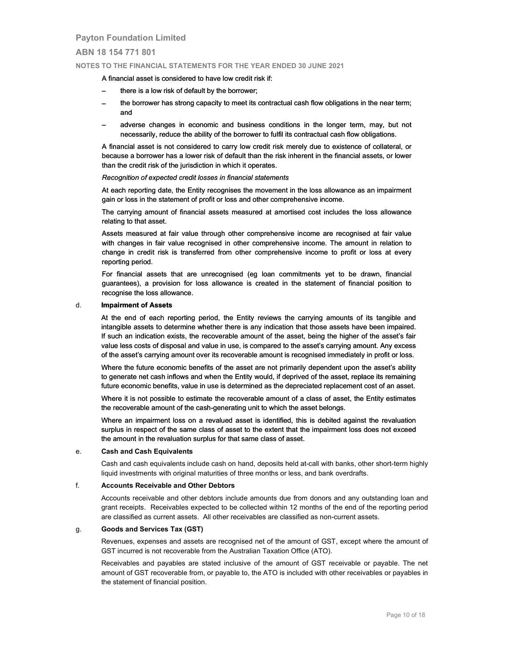## ABN 18 154 771 801

#### NOTES TO THE FINANCIAL STATEMENTS FOR THE YEAR ENDED 30 JUNE 2021

#### A financial asset is considered to have low credit risk if:

- there is a low risk of default by the borrower;
- the borrower has strong capacity to meet its contractual cash flow obligations in the near term; and
- adverse changes in economic and business conditions in the longer term, may, but not necessarily, reduce the ability of the borrower to fulfil its contractual cash flow obligations.

 A financial asset is not considered to carry low credit risk merely due to existence of collateral, or because a borrower has a lower risk of default than the risk inherent in the financial assets, or lower than the credit risk of the jurisdiction in which it operates.

#### Recognition of expected credit losses in financial statements

 At each reporting date, the Entity recognises the movement in the loss allowance as an impairment gain or loss in the statement of profit or loss and other comprehensive income.

 The carrying amount of financial assets measured at amortised cost includes the loss allowance relating to that asset.

Assets measured at fair value through other comprehensive income are recognised at fair value with changes in fair value recognised in other comprehensive income. The amount in relation to change in credit risk is transferred from other comprehensive income to profit or loss at every reporting period.

 For financial assets that are unrecognised (eg loan commitments yet to be drawn, financial guarantees), a provision for loss allowance is created in the statement of financial position to recognise the loss allowance.

#### d. Impairment of Assets

At the end of each reporting period, the Entity reviews the carrying amounts of its tangible and intangible assets to determine whether there is any indication that those assets have been impaired. If such an indication exists, the recoverable amount of the asset, being the higher of the asset's fair value less costs of disposal and value in use, is compared to the asset's carrying amount. Any excess of the asset's carrying amount over its recoverable amount is recognised immediately in profit or loss. A financial asset is considered to have low credit risk if:<br>
— the borrower has strong capacity to the borrower;<br>
— the borrower has strong capacity to meet its contractual cash flow obligations in the near term;<br>
and<br>
— a

 Where the future economic benefits of the asset are not primarily dependent upon the asset's ability to generate net cash inflows and when the Entity would, if deprived of the asset, replace its remaining future economic benefits, value in use is determined as the depreciated replacement cost of an asset.

 Where it is not possible to estimate the recoverable amount of a class of asset, the Entity estimates the recoverable amount of the cash-generating unit to which the asset belongs.

Where an impairment loss on a revalued asset is identified, this is debited against the revaluation surplus in respect of the same class of asset to the extent that the impairment loss does not exceed the amount in the revaluation surplus for that same class of asset. to generate net cash inflows and when the Entity would, if deprived of the asset, replace its<br>future economic benefits, value in use is determined as the depreciated replacement cost of<br>Where it is not possible to estimate

 Cash and cash equivalents include cash on hand, deposits held at-call with banks, other short-term highly liquid investments with original maturities of three months or less, and bank overdrafts.

#### f. Accounts Receivable and Other Debtors

Accounts receivable and other debtors include amounts due from donors and any outstanding loan and grant receipts. Receivables expected to be collected within 12 months of the end of the reporting period are classified as current assets. All other receivables are classified as non-current assets.

#### g. Goods and Services Tax (GST)

Revenues, expenses and assets are recognised net of the amount of GST, except where the amount of GST incurred is not recoverable from the Australian Taxation Office (ATO).

Receivables and payables are stated inclusive of the amount of GST receivable or payable. The net amount of GST recoverable from, or payable to, the ATO is included with other receivables or payables in the statement of financial position.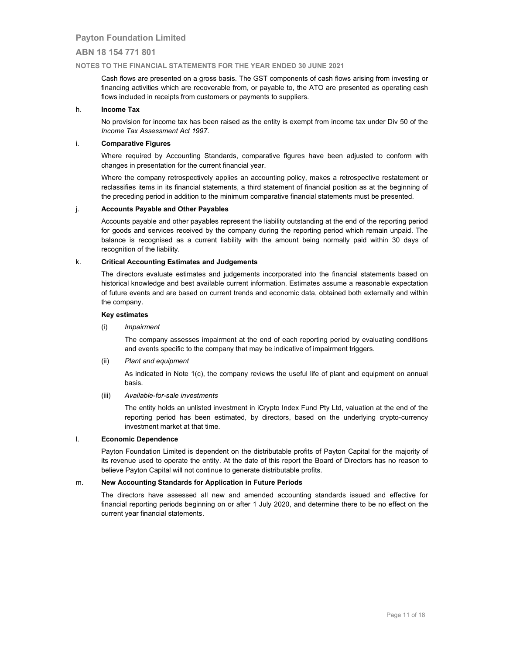## ABN 18 154 771 801

## NOTES TO THE FINANCIAL STATEMENTS FOR THE YEAR ENDED 30 JUNE 2021

Cash flows are presented on a gross basis. The GST components of cash flows arising from investing or financing activities which are recoverable from, or payable to, the ATO are presented as operating cash flows included in receipts from customers or payments to suppliers.

## h. Income Tax

No provision for income tax has been raised as the entity is exempt from income tax under Div 50 of the Income Tax Assessment Act 1997.

## i. Comparative Figures

Where required by Accounting Standards, comparative figures have been adjusted to conform with changes in presentation for the current financial year.

Where the company retrospectively applies an accounting policy, makes a retrospective restatement or reclassifies items in its financial statements, a third statement of financial position as at the beginning of the preceding period in addition to the minimum comparative financial statements must be presented.

## j. Accounts Payable and Other Payables

Accounts payable and other payables represent the liability outstanding at the end of the reporting period for goods and services received by the company during the reporting period which remain unpaid. The balance is recognised as a current liability with the amount being normally paid within 30 days of recognition of the liability.

## k. Critical Accounting Estimates and Judgements

 The directors evaluate estimates and judgements incorporated into the financial statements based on historical knowledge and best available current information. Estimates assume a reasonable expectation of future events and are based on current trends and economic data, obtained both externally and within the company.

### Key estimates

(i) Impairment

 The company assesses impairment at the end of each reporting period by evaluating conditions and events specific to the company that may be indicative of impairment triggers.

(ii) Plant and equipment

 As indicated in Note 1(c), the company reviews the useful life of plant and equipment on annual basis.

(iii) Available-for-sale investments

 The entity holds an unlisted investment in iCrypto Index Fund Pty Ltd, valuation at the end of the reporting period has been estimated, by directors, based on the underlying crypto-currency investment market at that time.

#### l. Economic Dependence

 Payton Foundation Limited is dependent on the distributable profits of Payton Capital for the majority of its revenue used to operate the entity. At the date of this report the Board of Directors has no reason to believe Payton Capital will not continue to generate distributable profits.

## m. New Accounting Standards for Application in Future Periods

The directors have assessed all new and amended accounting standards issued and effective for financial reporting periods beginning on or after 1 July 2020, and determine there to be no effect on the current year financial statements.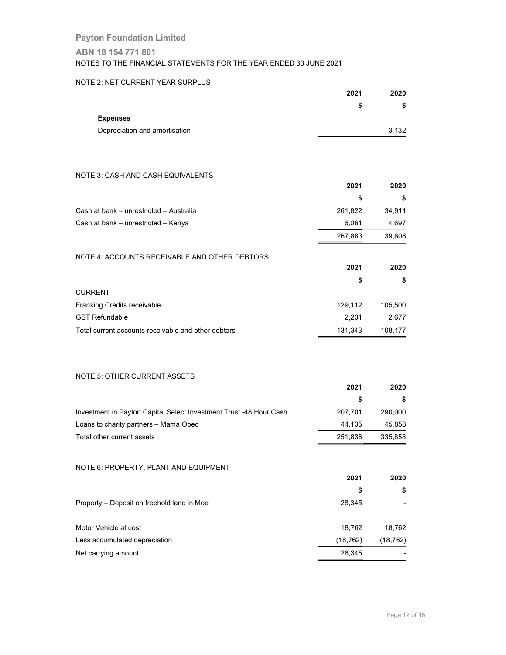## ABN 18 154 771 801

NOTES TO THE FINANCIAL STATEMENTS FOR THE YEAR ENDED 30 JUNE 2021

## NOTE 2: NET CURRENT YEAR SURPLUS

| 2021           | 2020  |
|----------------|-------|
| S              | S     |
|                |       |
| $\blacksquare$ | 3,132 |
|                |       |

## NOTE 3: CASH AND CASH EQUIVALENTS

|                                               | 2021    | 2020   |
|-----------------------------------------------|---------|--------|
|                                               | \$      | 5      |
| Cash at bank - unrestricted - Australia       | 261,822 | 34,911 |
| Cash at bank - unrestricted - Kenya           | 6,061   | 4,697  |
|                                               | 267,883 | 39,608 |
| NOTE 4: ACCOUNTS RECEIVABLE AND OTHER DEBTORS |         |        |
|                                               | 2021    | 2020   |
|                                               | S       | S      |

| <b>CURRENT</b>                                      |         |         |
|-----------------------------------------------------|---------|---------|
| Franking Credits receivable                         | 129.112 | 105.500 |
| <b>GST Refundable</b>                               | 2.231   | 2.677   |
| Total current accounts receivable and other debtors | 131.343 | 108.177 |

## NOTE 5: OTHER CURRENT ASSETS

|                                                                    | 2021     | 2020      |
|--------------------------------------------------------------------|----------|-----------|
|                                                                    | \$       | \$        |
| Investment in Payton Capital Select Investment Trust -48 Hour Cash | 207,701  | 290,000   |
| Loans to charity partners - Mama Obed                              | 44,135   | 45,858    |
| Total other current assets                                         | 251,836  | 335,858   |
| NOTE 6: PROPERTY, PLANT AND EQUIPMENT                              | 2021     | 2020      |
|                                                                    | \$       | \$        |
| Property – Deposit on freehold land in Moe                         | 28,345   |           |
| Motor Vehicle at cost                                              | 18,762   | 18,762    |
| Less accumulated depreciation                                      | (18,762) | (18, 762) |
| Net carrying amount                                                | 28,345   |           |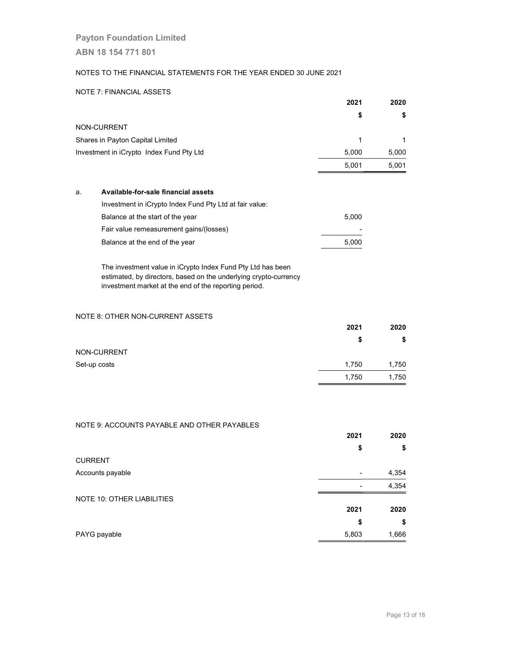## NOTES TO THE FINANCIAL STATEMENTS FOR THE YEAR ENDED 30 JUNE 2021

## NOTE 7: FINANCIAL ASSETS

|                                          | 2021  | 2020  |
|------------------------------------------|-------|-------|
|                                          | \$    | S     |
| NON-CURRENT                              |       |       |
| Shares in Payton Capital Limited         |       |       |
| Investment in iCrypto Index Fund Pty Ltd | 5,000 | 5,000 |
|                                          | 5,001 | 5,001 |

## a. Available-for-sale financial assets

| Investment in iCrypto Index Fund Pty Ltd at fair value: |       |
|---------------------------------------------------------|-------|
| Balance at the start of the year                        | 5.000 |
| Fair value remeasurement gains/(losses)                 |       |
| Balance at the end of the year                          | 5.000 |

 The investment value in iCrypto Index Fund Pty Ltd has been estimated, by directors, based on the underlying crypto-currency investment market at the end of the reporting period.

## NOTE 8: OTHER NON-CURRENT ASSETS

|              | 2021  | 2020  |
|--------------|-------|-------|
|              | S     | S     |
| NON-CURRENT  |       |       |
| Set-up costs | 1,750 | 1,750 |
|              | 1,750 | 1,750 |

## NOTE 9: ACCOUNTS PAYABLE AND OTHER PAYABLES

|                            | 2021  | 2020<br>\$ |
|----------------------------|-------|------------|
|                            | \$    |            |
| <b>CURRENT</b>             |       |            |
| Accounts payable           |       | 4,354      |
|                            |       | 4,354      |
| NOTE 10: OTHER LIABILITIES |       |            |
|                            | 2021  | 2020       |
|                            | \$    | \$         |
| PAYG payable               | 5,803 | 1,666      |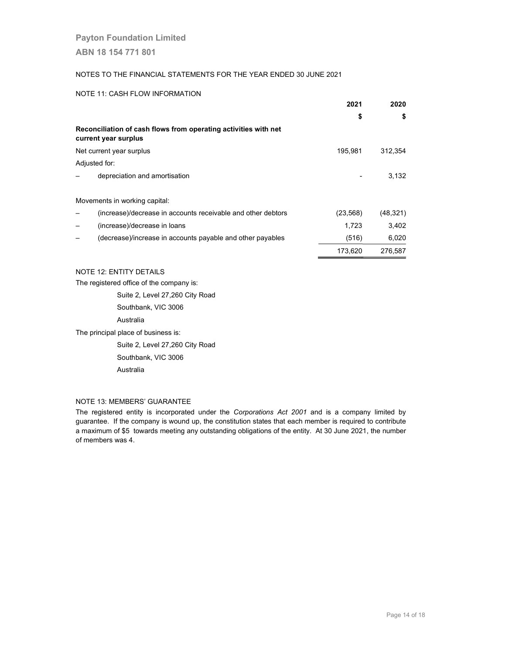## NOTES TO THE FINANCIAL STATEMENTS FOR THE YEAR ENDED 30 JUNE 2021

#### NOTE 11: CASH FLOW INFORMATION

|                                                                                         | 2021      | 2020      |
|-----------------------------------------------------------------------------------------|-----------|-----------|
|                                                                                         | \$        | \$        |
| Reconciliation of cash flows from operating activities with net<br>current year surplus |           |           |
| Net current year surplus                                                                | 195,981   | 312,354   |
| Adjusted for:                                                                           |           |           |
| depreciation and amortisation                                                           |           | 3,132     |
| Movements in working capital:                                                           |           |           |
| (increase)/decrease in accounts receivable and other debtors                            | (23, 568) | (48, 321) |
| (increase)/decrease in loans                                                            | 1,723     | 3.402     |
| (decrease)/increase in accounts payable and other payables                              | (516)     | 6,020     |
|                                                                                         | 173.620   | 276.587   |

NOTE 12: ENTITY DETAILS

The registered office of the company is:

Suite 2, Level 27,260 City Road

Southbank, VIC 3006

Australia

The principal place of business is:

Suite 2, Level 27,260 City Road

Southbank, VIC 3006

Australia

## NOTE 13: MEMBERS' GUARANTEE

The registered entity is incorporated under the Corporations Act 2001 and is a company limited by guarantee. If the company is wound up, the constitution states that each member is required to contribute a maximum of \$5 towards meeting any outstanding obligations of the entity. At 30 June 2021, the number of members was 4.